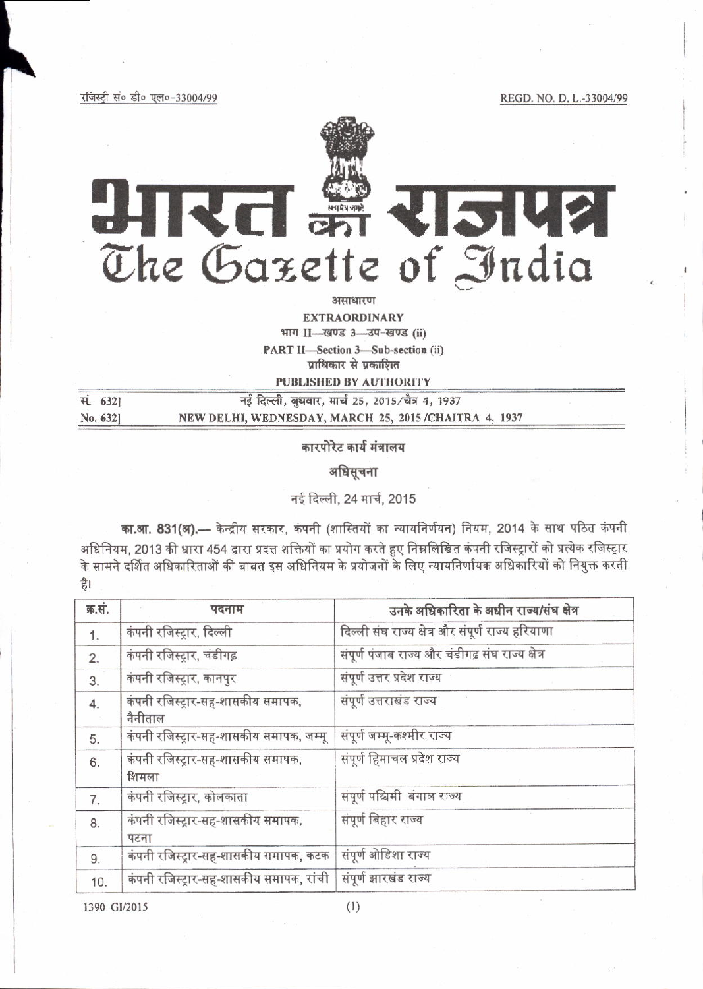REGD. NO. D. L.-33004/99

रजिस्ट्री सं० डी० एल०-33004/99



असाधारण

**EXTRAORDINARY** भाग II- खण्ड 3- उप-खण्ड (ii) PART II-Section 3-Sub-section (ii)

प्राधिकार से प्रकाशित

**PUBLISHED BY AUTHORITY** 

| स. 6321 | नई दिल्ली, बुधवार, मार्च 25, 2015/चैत्र 4, 1937      |
|---------|------------------------------------------------------|
| No. 632 | NEW DELHI, WEDNESDAY, MARCH 25, 2015/CHAITRA 4, 1937 |

कारपोरेट कार्य मंत्रालय

अधिसचना

नई दिल्ली. 24 मार्च. 2015

का.आ. 831(अ). - केन्द्रीय सरकार, कंपनी (शास्तियों का न्यायनिर्णयन) नियम, 2014 के साथ पठित कंपनी अधिनियम, 2013 की धारा 454 द्वारा प्रदत्त शक्तियों का प्रयोग करते हुए निम्नलिखित कंपनी रजिस्ट्रारों को प्रत्येक रजिस्ट्रार <u>के सामने दर्शित अधिकारिताओं की बाबत इस अधिनियम के प्रयोजनों के लिए न्यायनिर्णायक अधिकारियों को नियुक्त करती</u> है।

| क्र.सं. | पदनाम                                                            | उनके अधिकारिता के अधीन राज्य/संघ क्षेत्र          |  |
|---------|------------------------------------------------------------------|---------------------------------------------------|--|
| 1.      | कंपनी रजिस्ट्रार, दिल्ली                                         | दिल्ली संघ राज्य क्षेत्र और संपूर्ण राज्य हरियाणा |  |
| 2.      | कंपनी रजिस्ट्रार, चंडीगढ़                                        | संपूर्ण पंजाब राज्य और चंडीगढ़ संघ राज्य क्षेत्र  |  |
| 3.      | कंपनी रजिस्ट्रार, कानपुर                                         | संपूर्ण उत्तर प्रदेश राज्य                        |  |
| 4.      | कंपनी रजिस्ट्रार-सह-शासकीय समापक,<br>नैनीताल                     | संपूर्ण उत्तराखंड राज्य                           |  |
| 5.      | कंपनी रजिस्ट्रार-सह-शासकीय समापक, जम्मू                          | संपूर्ण जम्मू-कश्मीर राज्य                        |  |
| 6.      | कंपनी रजिस्ट्रार-सह-शासकीय समापक,<br>शिमला                       | संपूर्ण हिमाचल प्रदेश राज्य                       |  |
| 7.      | कंपनी रजिस्ट्रार, कोलकाता                                        | संपूर्ण पश्चिमी बंगाल राज्य                       |  |
| 8.      | संपूर्ण बिहार राज्य<br>कंपनी रजिस्ट्रार-सह-शासकीय समापक,<br>पटना |                                                   |  |
| 9.      | कंपनी रजिस्ट्रार-सह-शासकीय समापक, कटक                            | संपूर्ण ओडिशा राज्य                               |  |
| 10.     | कंपनी रजिस्ट्रार-सह-शासकीय समापक, रांची                          | संपूर्ण झारखंड राज्य                              |  |

1390 GI/2015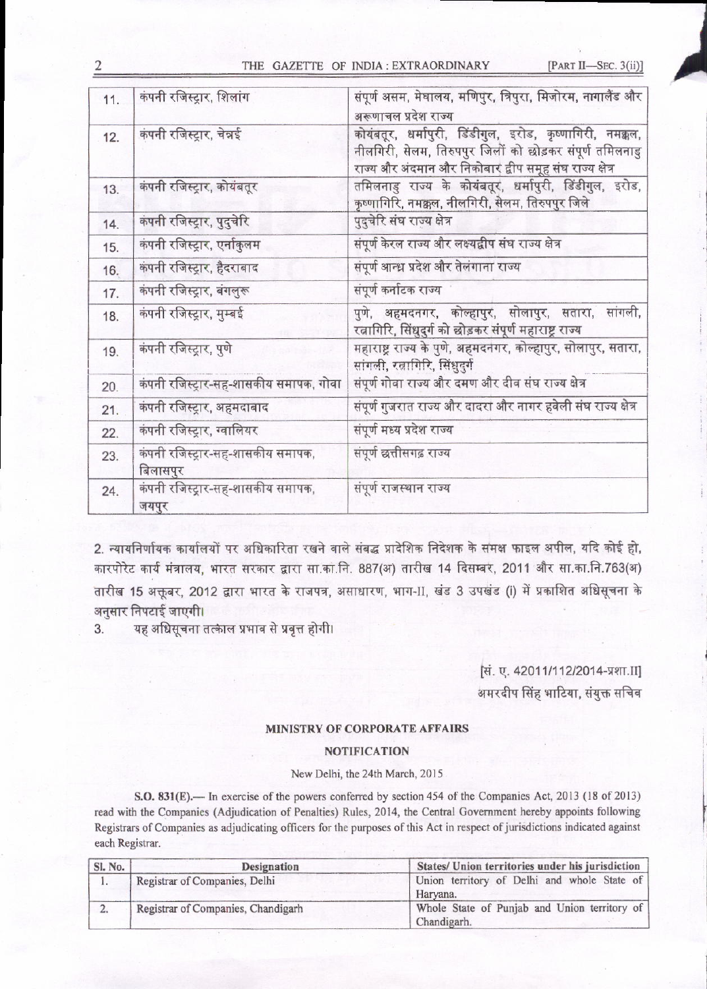#### THE GAZETTE OF INDIA: EXTRAORDINARY

[PART II-SEC. 3(ii)]

| 11. | कंपनी रजिस्ट्रार, शिलांग                      | संपूर्ण असम, मेघालय, मणिपुर, त्रिपुरा, मिजोरम, नागालैंड और<br>अरूणाचल प्रदेश राज्य                                                                                              |  |
|-----|-----------------------------------------------|---------------------------------------------------------------------------------------------------------------------------------------------------------------------------------|--|
| 12. | कंपनी रजिस्ट्रार, चेन्नई                      | कोयंबतूर, धर्मापुरी, डिंडीगुल, इरोड, कृष्णागिरी, नमक्कल,<br>नीलगिरी, सेलम, तिरुपपुर जिलों को छोड़कर संपूर्ण तमिलनाडु<br>राज्य और अंदमान और निकोबार द्वीप समूह संघ राज्य क्षेत्र |  |
| 13. | कंपनी रजिस्ट्रार, कोयंबतूर                    | तमिलनाडु राज्य के कोयंबतूर, धर्मापुरी, डिंडीगुल, इरोड,<br>कृष्णागिरि, नमक्कल, नीलगिरी, सेलम, तिरुपपुर जिले                                                                      |  |
| 14. | कंपनी रजिस्ट्रार, पुदुचेरि                    | पुदुचेरि संघ राज्य क्षेत्र                                                                                                                                                      |  |
| 15. | कंपनी रजिस्ट्रार, एर्नाकुलम                   | संपूर्ण केरल राज्य और लक्ष्यद्वीप संघ राज्य क्षेत्र                                                                                                                             |  |
| 16. | कंपनी रजिस्ट्रार, हैदराबाद                    | संपूर्ण आन्ध्र प्रदेश और तेलंगाना राज्य                                                                                                                                         |  |
| 17. | कंपनी रजिस्ट्रार, बंगलुरू                     | संपूर्ण कर्नाटक राज्य                                                                                                                                                           |  |
| 18. | कंपनी रजिस्ट्रार, मुम्बई                      | पुणे, अहमदनगर, कोल्हापुर, सोलापुर, सतारा, सांगली,<br>रत्नागिरि, सिंधुदुर्ग को छोड़कर संपूर्ण महाराष्ट्र राज्य                                                                   |  |
| 19. | कंपनी रजिस्ट्रार, पुणे                        | महाराष्ट्र राज्य के पुणे, अहमदनगर, कोल्हापुर, सोलापुर, सतारा,<br>सांगली, रत्नागिरि, सिंधुदुर्ग                                                                                  |  |
| 20. | कंपनी रजिस्ट्रार-सह-शासकीय समापक, गोवा        | संपूर्ण गोवा राज्य और दमण और दीव संघ राज्य क्षेत्र                                                                                                                              |  |
| 21. | कंपनी रजिस्ट्रार, अहमदाबाद                    | संपूर्ण गुजरात राज्य और दादरा और नागर हवेली संघ राज्य क्षेत्र                                                                                                                   |  |
| 22. | कंपनी रजिस्ट्रार, ग्वालियर                    | संपूर्ण मध्य प्रदेश राज्य                                                                                                                                                       |  |
| 23. | कंपनी रजिस्ट्रार-सह-शासकीय समापक,<br>बिलासपुर | संपूर्ण छत्तीसगढ़ राज्य                                                                                                                                                         |  |
| 24. | कंपनी रजिस्ट्रार-सह-शासकीय समापक,<br>जयपुर    | संपूर्ण राजस्थान राज्य                                                                                                                                                          |  |

2. न्यायनिर्णायक कार्यालयों पर अधिकारिता रखने वाले संबद्ध प्रादेशिक निदेशक के समक्ष फाइल अपील, यदि कोई हो, कारपोरेट कार्य मंत्रालय, भारत सरकार द्वारा सा.का.नि. 887(अ) तारीख 14 दिसम्बर, 2011 और सा.का.नि.763(अ) तारीख 15 अक्तूबर, 2012 द्वारा भारत के राजपत्र, असाधारण, भाग-II, खंड 3 उपखंड (i) में प्रकाशित अधिसूचना के अनुसार निपटाई जाएगी।

यह अधिसूचना तत्काल प्रभाव से प्रवृत्त होगी। 3.

# सिं. ए. 42011/112/2014-प्रशा.II]

अमरदीप सिंह भाटिया, संयुक्त सचिव

### MINISTRY OF CORPORATE AFFAIRS

## **NOTIFICATION**

#### New Delhi, the 24th March, 2015

S.O. 831(E). In exercise of the powers conferred by section 454 of the Companies Act, 2013 (18 of 2013) read with the Companies (Adjudication of Penalties) Rules, 2014, the Central Government hereby appoints following Registrars of Companies as adjudicating officers for the purposes of this Act in respect of jurisdictions indicated against each Registrar.

| Sl. No. | Designation                        | States/ Union territories under his jurisdiction            |
|---------|------------------------------------|-------------------------------------------------------------|
|         | Registrar of Companies, Delhi      | Union territory of Delhi and whole State of<br>Harvana.     |
|         | Registrar of Companies, Chandigarh | Whole State of Punjab and Union territory of<br>Chandigarh. |

2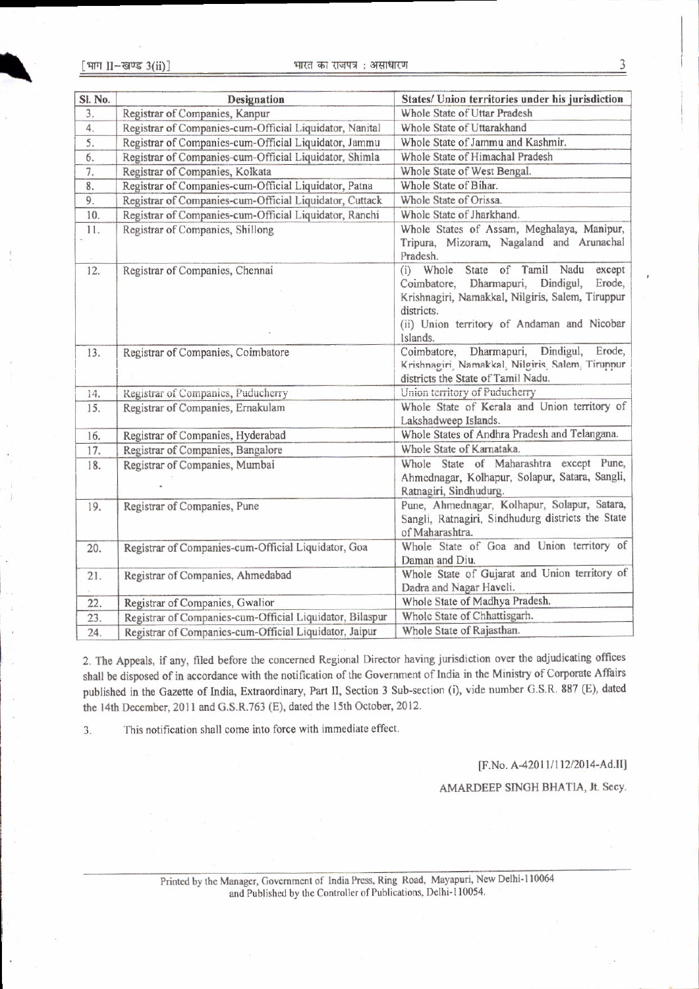| Sl. No. | <b>Designation</b>                                       | States/ Union territories under his jurisdiction                                                                                                                                                                       |
|---------|----------------------------------------------------------|------------------------------------------------------------------------------------------------------------------------------------------------------------------------------------------------------------------------|
| 3.      | Registrar of Companies, Kanpur                           | Whole State of Uttar Pradesh                                                                                                                                                                                           |
| 4.      | Registrar of Companies-cum-Official Liquidator, Nanital  | Whole State of Uttarakhand                                                                                                                                                                                             |
| 5.      | Registrar of Companies-cum-Official Liquidator, Jammu    | Whole State of Jammu and Kashmir.                                                                                                                                                                                      |
| 6.      | Registrar of Companies-cum-Official Liquidator, Shimla   | Whole State of Himachal Pradesh                                                                                                                                                                                        |
| 7.      | Registrar of Companies, Kolkata                          | Whole State of West Bengal.                                                                                                                                                                                            |
| 8.      | Registrar of Companies-cum-Official Liquidator, Patna    | Whole State of Bihar.                                                                                                                                                                                                  |
| 9.      | Registrar of Companies-cum-Official Liquidator, Cuttack  | Whole State of Orissa.                                                                                                                                                                                                 |
| 10.     | Registrar of Companies-cum-Official Liquidator, Ranchi   | Whole State of Jharkhand.                                                                                                                                                                                              |
| 11.     | Registrar of Companies, Shillong                         | Whole States of Assam, Meghalaya, Manipur,<br>Tripura, Mizoram, Nagaland and Arunachal<br>Pradesh.                                                                                                                     |
| 12.     | Registrar of Companies, Chennai                          | (i) Whole State of Tamil Nadu<br>except<br>Coimbatore, Dharmapuri,<br>Dindigul,<br>Erode,<br>Krishnagiri, Namakkal, Nilgiris, Salem, Tiruppur<br>districts.<br>(ii) Union territory of Andaman and Nicobar<br>Islands. |
| 13.     | Registrar of Companies, Coimbatore                       | Coimbatore, Dharmapuri,<br>Dindigul,<br>Erode,<br>Krishnagiri Namakkal Nilgiris Salem Tiruppur<br>districts the State of Tamil Nadu.                                                                                   |
| 14.     | Registrar of Companies, Puducherry                       | Union territory of Puducherry                                                                                                                                                                                          |
| 15.     | Registrar of Companies, Ernakulam                        | Whole State of Kerala and Union territory of<br>Lakshadweep Islands.                                                                                                                                                   |
| 16.     | Registrar of Companies, Hyderabad                        | Whole States of Andhra Pradesh and Telangana.                                                                                                                                                                          |
| 17.     | Registrar of Companies, Bangalore                        | Whole State of Karnataka.                                                                                                                                                                                              |
| 18.     | Registrar of Companies, Mumbai                           | Whole State of Maharashtra except Pune,<br>Ahmednagar, Kolhapur, Solapur, Satara, Sangli,<br>Ratnagiri, Sindhudurg.                                                                                                    |
| 19.     | Registrar of Companies, Pune                             | Pune, Ahmednagar, Kolhapur, Solapur, Satara,<br>Sangli, Ratnagiri, Sindhudurg districts the State<br>of Maharashtra.                                                                                                   |
| 20.     | Registrar of Companies-cum-Official Liquidator, Goa      | Whole State of Goa and Union territory of<br>Daman and Diu.                                                                                                                                                            |
| 21.     | Registrar of Companies, Ahmedabad                        | Whole State of Gujarat and Union territory of<br>Dadra and Nagar Haveli.                                                                                                                                               |
| 22.     | Registrar of Companies, Gwalior                          | Whole State of Madhya Pradesh.                                                                                                                                                                                         |
| 23.     | Registrar of Companies-cum-Official Liquidator, Bilaspur | Whole State of Chhattisgarh.                                                                                                                                                                                           |
| 24.     | Registrar of Companies-cum-Official Liquidator, Jaipur   | Whole State of Rajasthan.                                                                                                                                                                                              |

2. The Appeals, if any, filed before the concerned Regional Director having jurisdiction over the adjudicating offices shall be disposed of in accordance with the notification of the Government of India in the Ministry of Corporate Affairs published in the Gazette of India, Extraordinary, Part II, Section 3 Sub-section (i), vide number G.S.R. 887 (E), dated the 14th December, 2011 and G.S.R.763 (E), dated the 15th October, 2012.

This notification shall come into force with immediate effect. 3.

[F.No. A-42011/112/2014-Ad.II]

AMARDEEP SINGH BHATIA, Jt. Secy.

Printed by the Manager, Government of India Press, Ring Road, Mayapuri, New Delhi-110064 and Published by the Controller of Publications, Delhi-110054.

3